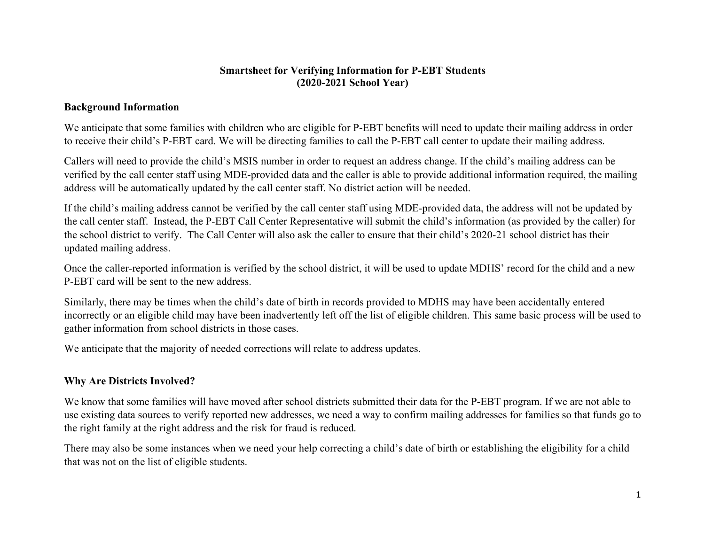### Smartsheet for Verifying Information for P-EBT Students (2020-2021 School Year)

### Background Information

We anticipate that some families with children who are eligible for P-EBT benefits will need to update their mailing address in order to receive their child's P-EBT card. We will be directing families to call the P-EBT call center to update their mailing address.

Callers will need to provide the child's MSIS number in order to request an address change. If the child's mailing address can be verified by the call center staff using MDE-provided data and the caller is able to provide additional information required, the mailing address will be automatically updated by the call center staff. No district action will be needed.

If the child's mailing address cannot be verified by the call center staff using MDE-provided data, the address will not be updated by the call center staff. Instead, the P-EBT Call Center Representative will submit the child's information (as provided by the caller) for the school district to verify. The Call Center will also ask the caller to ensure that their child's 2020-21 school district has their updated mailing address.

Once the caller-reported information is verified by the school district, it will be used to update MDHS' record for the child and a new P-EBT card will be sent to the new address.

Similarly, there may be times when the child's date of birth in records provided to MDHS may have been accidentally entered incorrectly or an eligible child may have been inadvertently left off the list of eligible children. This same basic process will be used to gather information from school districts in those cases.

We anticipate that the majority of needed corrections will relate to address updates.

# Why Are Districts Involved?

We know that some families will have moved after school districts submitted their data for the P-EBT program. If we are not able to use existing data sources to verify reported new addresses, we need a way to confirm mailing addresses for families so that funds go to the right family at the right address and the risk for fraud is reduced.

There may also be some instances when we need your help correcting a child's date of birth or establishing the eligibility for a child that was not on the list of eligible students.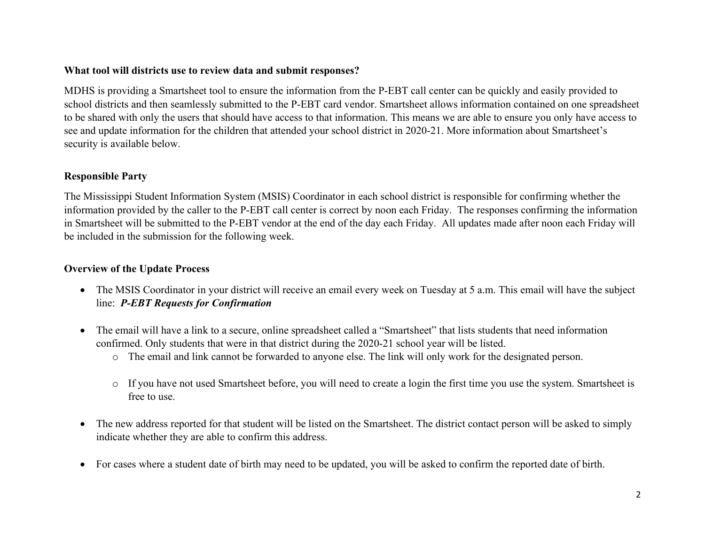### What tool will districts use to review data and submit responses?

MDHS is providing a Smartsheet tool to ensure the information from the P-EBT call center can be quickly and easily provided to school districts and then seamlessly submitted to the P-EBT card vendor. Smartsheet allows information contained on one spreadsheet to be shared with only the users that should have access to that information. This means we are able to ensure you only have access to see and update information for the children that attended your school district in 2020-21. More information about Smartsheet's security is available below.

## Responsible Party

The Mississippi Student Information System (MSIS) Coordinator in each school district is responsible for confirming whether the information provided by the caller to the P-EBT call center is correct by noon each Friday. The responses confirming the information in Smartsheet will be submitted to the P-EBT vendor at the end of the day each Friday. All updates made after noon each Friday will be included in the submission for the following week.

### Overview of the Update Process

- The MSIS Coordinator in your district will receive an email every week on Tuesday at 5 a.m. This email will have the subject line: P-EBT Requests for Confirmation
- The email will have a link to a secure, online spreadsheet called a "Smartsheet" that lists students that need information confirmed. Only students that were in that district during the 2020-21 school year will be listed.
	- o The email and link cannot be forwarded to anyone else. The link will only work for the designated person.
	- o If you have not used Smartsheet before, you will need to create a login the first time you use the system. Smartsheet is free to use.
- The new address reported for that student will be listed on the Smartsheet. The district contact person will be asked to simply indicate whether they are able to confirm this address.
- For cases where a student date of birth may need to be updated, you will be asked to confirm the reported date of birth.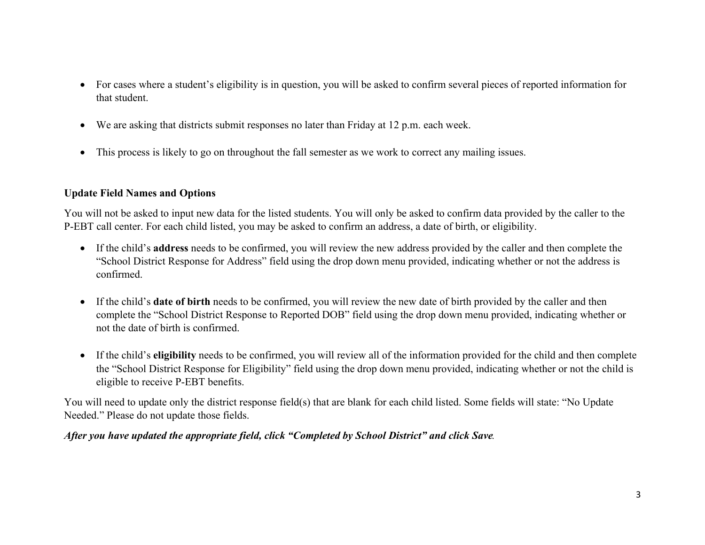- For cases where a student's eligibility is in question, you will be asked to confirm several pieces of reported information for that student.
- We are asking that districts submit responses no later than Friday at 12 p.m. each week.
- This process is likely to go on throughout the fall semester as we work to correct any mailing issues.

## Update Field Names and Options

You will not be asked to input new data for the listed students. You will only be asked to confirm data provided by the caller to the P-EBT call center. For each child listed, you may be asked to confirm an address, a date of birth, or eligibility.

- If the child's address needs to be confirmed, you will review the new address provided by the caller and then complete the "School District Response for Address" field using the drop down menu provided, indicating whether or not the address is confirmed.
- If the child's date of birth needs to be confirmed, you will review the new date of birth provided by the caller and then complete the "School District Response to Reported DOB" field using the drop down menu provided, indicating whether or not the date of birth is confirmed.
- If the child's eligibility needs to be confirmed, you will review all of the information provided for the child and then complete the "School District Response for Eligibility" field using the drop down menu provided, indicating whether or not the child is eligible to receive P-EBT benefits.

You will need to update only the district response field(s) that are blank for each child listed. Some fields will state: "No Update Needed." Please do not update those fields.

## After you have updated the appropriate field, click "Completed by School District" and click Save.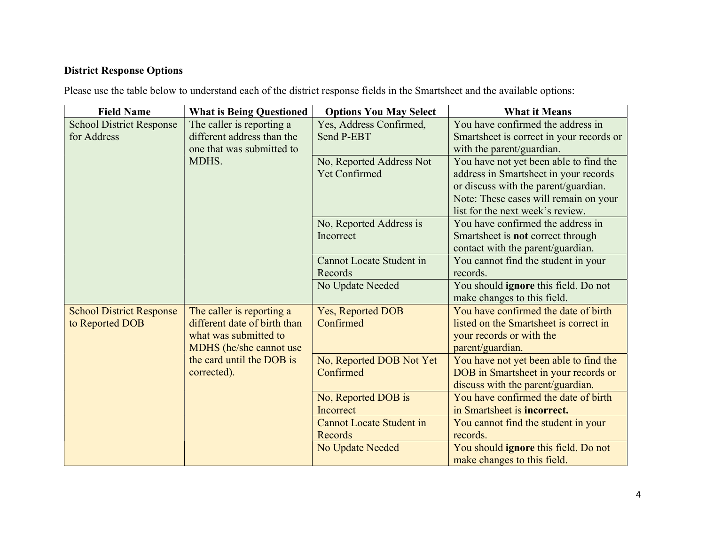# District Response Options

Please use the table below to understand each of the district response fields in the Smartsheet and the available options:

| <b>Field Name</b>               | <b>What is Being Questioned</b>                      | <b>Options You May Select</b>   | <b>What it Means</b>                     |
|---------------------------------|------------------------------------------------------|---------------------------------|------------------------------------------|
| <b>School District Response</b> | The caller is reporting a                            | Yes, Address Confirmed,         | You have confirmed the address in        |
| for Address                     | different address than the                           | Send P-EBT                      | Smartsheet is correct in your records or |
|                                 | one that was submitted to<br>MDHS.                   |                                 | with the parent/guardian.                |
|                                 |                                                      | No, Reported Address Not        | You have not yet been able to find the   |
|                                 |                                                      | <b>Yet Confirmed</b>            | address in Smartsheet in your records    |
|                                 |                                                      |                                 | or discuss with the parent/guardian.     |
|                                 |                                                      |                                 | Note: These cases will remain on your    |
|                                 |                                                      |                                 | list for the next week's review.         |
|                                 |                                                      | No, Reported Address is         | You have confirmed the address in        |
|                                 |                                                      | Incorrect                       | Smartsheet is not correct through        |
|                                 |                                                      |                                 | contact with the parent/guardian.        |
|                                 |                                                      | <b>Cannot Locate Student in</b> | You cannot find the student in your      |
|                                 |                                                      | Records                         | records.                                 |
|                                 |                                                      | No Update Needed                | You should ignore this field. Do not     |
|                                 |                                                      |                                 | make changes to this field.              |
| <b>School District Response</b> | The caller is reporting a                            | Yes, Reported DOB               | You have confirmed the date of birth     |
| to Reported DOB                 | different date of birth than                         | Confirmed                       | listed on the Smartsheet is correct in   |
|                                 | what was submitted to                                |                                 | your records or with the                 |
|                                 | MDHS (he/she cannot use<br>the card until the DOB is |                                 | parent/guardian.                         |
|                                 |                                                      | No, Reported DOB Not Yet        | You have not yet been able to find the   |
|                                 | corrected).                                          | Confirmed                       | DOB in Smartsheet in your records or     |
|                                 |                                                      |                                 | discuss with the parent/guardian.        |
|                                 |                                                      | No, Reported DOB is             | You have confirmed the date of birth     |
|                                 |                                                      | Incorrect                       | in Smartsheet is <b>incorrect.</b>       |
|                                 |                                                      | <b>Cannot Locate Student in</b> | You cannot find the student in your      |
|                                 |                                                      | Records                         | records.                                 |
|                                 |                                                      | No Update Needed                | You should ignore this field. Do not     |
|                                 |                                                      |                                 | make changes to this field.              |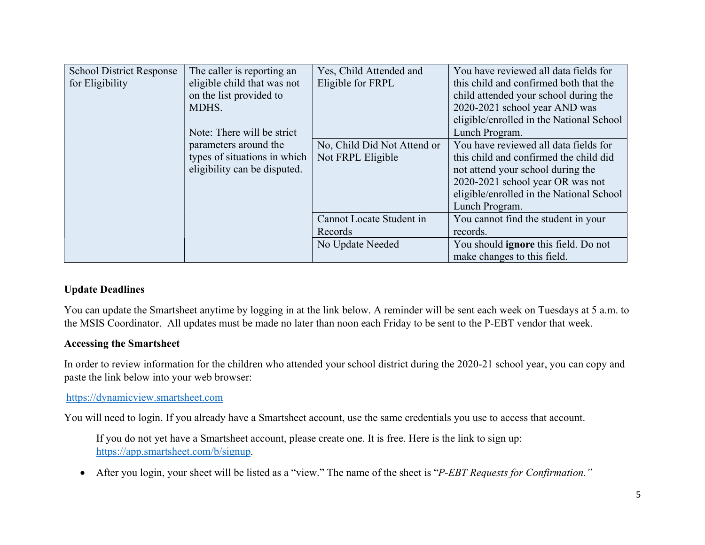| <b>School District Response</b><br>for Eligibility<br>on the list provided to<br>MDHS.<br>parameters around the | The caller is reporting an<br>eligible child that was not<br>Note: There will be strict | Yes, Child Attended and<br>Eligible for FRPL     | You have reviewed all data fields for<br>this child and confirmed both that the<br>child attended your school during the<br>2020-2021 school year AND was<br>eligible/enrolled in the National School<br>Lunch Program. |
|-----------------------------------------------------------------------------------------------------------------|-----------------------------------------------------------------------------------------|--------------------------------------------------|-------------------------------------------------------------------------------------------------------------------------------------------------------------------------------------------------------------------------|
|                                                                                                                 | types of situations in which<br>eligibility can be disputed.                            | No, Child Did Not Attend or<br>Not FRPL Eligible | You have reviewed all data fields for<br>this child and confirmed the child did<br>not attend your school during the<br>2020-2021 school year OR was not<br>eligible/enrolled in the National School<br>Lunch Program.  |
|                                                                                                                 |                                                                                         | Cannot Locate Student in<br>Records              | You cannot find the student in your<br>records.                                                                                                                                                                         |
|                                                                                                                 |                                                                                         | No Update Needed                                 | You should ignore this field. Do not<br>make changes to this field.                                                                                                                                                     |

## Update Deadlines

You can update the Smartsheet anytime by logging in at the link below. A reminder will be sent each week on Tuesdays at 5 a.m. to the MSIS Coordinator. All updates must be made no later than noon each Friday to be sent to the P-EBT vendor that week.

## Accessing the Smartsheet

In order to review information for the children who attended your school district during the 2020-21 school year, you can copy and paste the link below into your web browser:

## https://dynamicview.smartsheet.com

You will need to login. If you already have a Smartsheet account, use the same credentials you use to access that account.

If you do not yet have a Smartsheet account, please create one. It is free. Here is the link to sign up: https://app.smartsheet.com/b/signup.

• After you login, your sheet will be listed as a "view." The name of the sheet is "P-EBT Requests for Confirmation."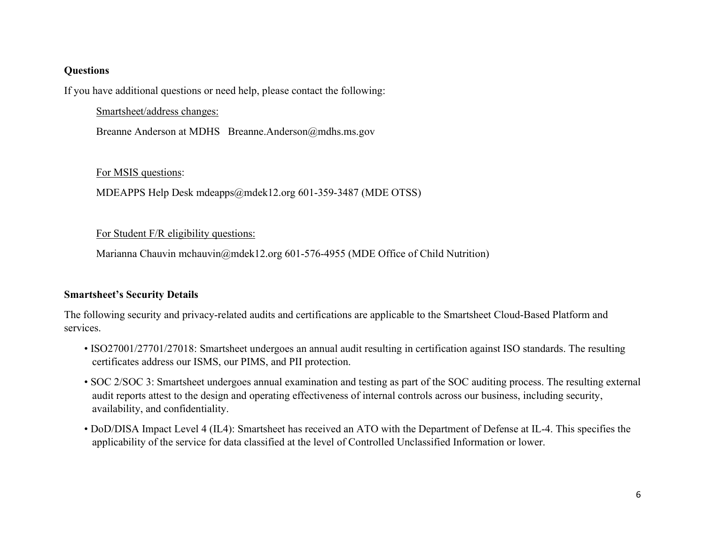### **Questions**

If you have additional questions or need help, please contact the following:

Smartsheet/address changes:

Breanne Anderson at MDHS Breanne.Anderson@mdhs.ms.gov

## For MSIS questions:

MDEAPPS Help Desk mdeapps@mdek12.org 601-359-3487 (MDE OTSS)

## For Student F/R eligibility questions:

Marianna Chauvin mchauvin@mdek12.org 601-576-4955 (MDE Office of Child Nutrition)

# Smartsheet's Security Details

The following security and privacy-related audits and certifications are applicable to the Smartsheet Cloud-Based Platform and services.

- ISO27001/27701/27018: Smartsheet undergoes an annual audit resulting in certification against ISO standards. The resulting certificates address our ISMS, our PIMS, and PII protection.
- SOC 2/SOC 3: Smartsheet undergoes annual examination and testing as part of the SOC auditing process. The resulting external audit reports attest to the design and operating effectiveness of internal controls across our business, including security, availability, and confidentiality.
- DoD/DISA Impact Level 4 (IL4): Smartsheet has received an ATO with the Department of Defense at IL-4. This specifies the applicability of the service for data classified at the level of Controlled Unclassified Information or lower.